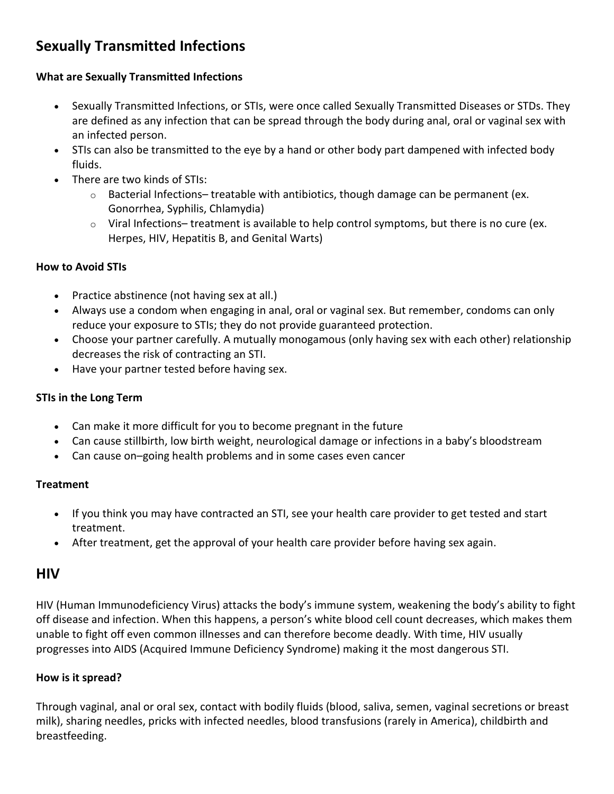# **Sexually Transmitted Infections**

### **What are Sexually Transmitted Infections**

- Sexually Transmitted Infections, or STIs, were once called Sexually Transmitted Diseases or STDs. They are defined as any infection that can be spread through the body during anal, oral or vaginal sex with an infected person.
- STIs can also be transmitted to the eye by a hand or other body part dampened with infected body fluids.
- There are two kinds of STIs:
	- $\circ$  Bacterial Infections– treatable with antibiotics, though damage can be permanent (ex. Gonorrhea, Syphilis, Chlamydia)
	- $\circ$  Viral Infections– treatment is available to help control symptoms, but there is no cure (ex. Herpes, HIV, Hepatitis B, and Genital Warts)

### **How to Avoid STIs**

- Practice abstinence (not having sex at all.)
- Always use a condom when engaging in anal, oral or vaginal sex. But remember, condoms can only reduce your exposure to STIs; they do not provide guaranteed protection.
- Choose your partner carefully. A mutually monogamous (only having sex with each other) relationship decreases the risk of contracting an STI.
- Have your partner tested before having sex.

### **STIs in the Long Term**

- Can make it more difficult for you to become pregnant in the future
- Can cause stillbirth, low birth weight, neurological damage or infections in a baby's bloodstream
- Can cause on–going health problems and in some cases even cancer

### **Treatment**

- If you think you may have contracted an STI, see your health care provider to get tested and start treatment.
- After treatment, get the approval of your health care provider before having sex again.

# **HIV**

HIV (Human Immunodeficiency Virus) attacks the body's immune system, weakening the body's ability to fight off disease and infection. When this happens, a person's white blood cell count decreases, which makes them unable to fight off even common illnesses and can therefore become deadly. With time, HIV usually progresses into AIDS (Acquired Immune Deficiency Syndrome) making it the most dangerous STI.

### **How is it spread?**

Through vaginal, anal or oral sex, contact with bodily fluids (blood, saliva, semen, vaginal secretions or breast milk), sharing needles, pricks with infected needles, blood transfusions (rarely in America), childbirth and breastfeeding.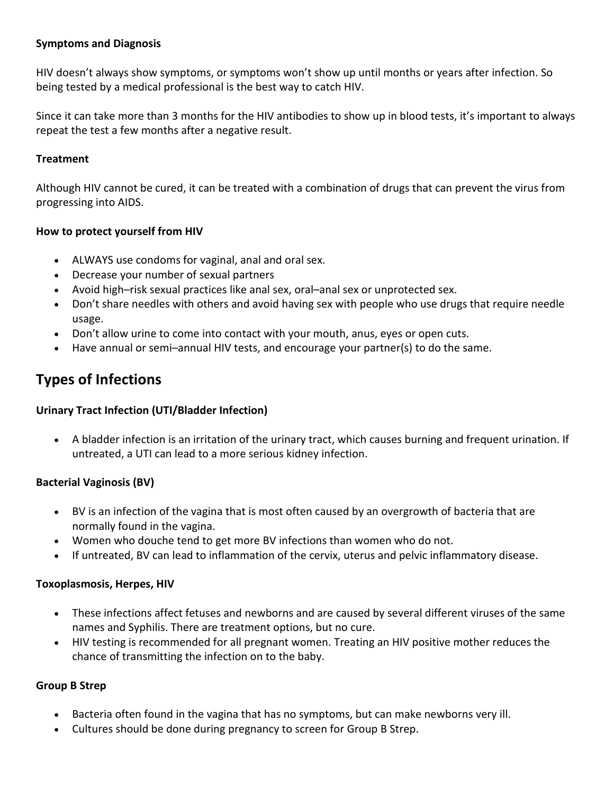### **Symptoms and Diagnosis**

HIV doesn't always show symptoms, or symptoms won't show up until months or years after infection. So being tested by a medical professional is the best way to catch HIV.

Since it can take more than 3 months for the HIV antibodies to show up in blood tests, it's important to always repeat the test a few months after a negative result.

### **Treatment**

Although HIV cannot be cured, it can be treated with a combination of drugs that can prevent the virus from progressing into AIDS.

## **How to protect yourself from HIV**

- ALWAYS use condoms for vaginal, anal and oral sex.
- Decrease your number of sexual partners
- Avoid high–risk sexual practices like anal sex, oral–anal sex or unprotected sex.
- Don't share needles with others and avoid having sex with people who use drugs that require needle usage.
- Don't allow urine to come into contact with your mouth, anus, eyes or open cuts.
- Have annual or semi–annual HIV tests, and encourage your partner(s) to do the same.

# **Types of Infections**

### **Urinary Tract Infection (UTI/Bladder Infection)**

• A bladder infection is an irritation of the urinary tract, which causes burning and frequent urination. If untreated, a UTI can lead to a more serious kidney infection.

### **Bacterial Vaginosis (BV)**

- BV is an infection of the vagina that is most often caused by an overgrowth of bacteria that are normally found in the vagina.
- Women who douche tend to get more BV infections than women who do not.
- If untreated, BV can lead to inflammation of the cervix, uterus and pelvic inflammatory disease.

### **Toxoplasmosis, Herpes, HIV**

- These infections affect fetuses and newborns and are caused by several different viruses of the same names and Syphilis. There are treatment options, but no cure.
- HIV testing is recommended for all pregnant women. Treating an HIV positive mother reduces the chance of transmitting the infection on to the baby.

### **Group B Strep**

- Bacteria often found in the vagina that has no symptoms, but can make newborns very ill.
- Cultures should be done during pregnancy to screen for Group B Strep.